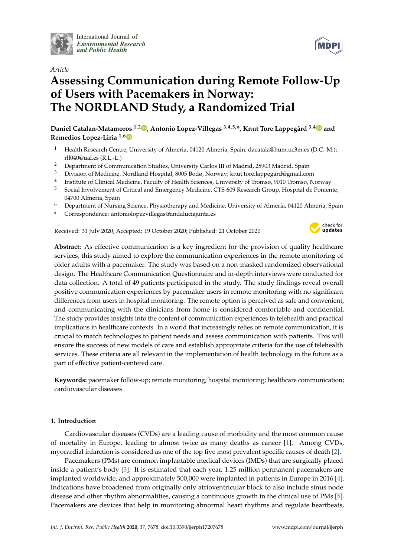

International Journal of *[Environmental Research](http://www.mdpi.com/journal/ijerph) and Public Health*



# **Assessing Communication during Remote Follow-Up of Users with Pacemakers in Norway: The NORDLAND Study, a Randomized Trial**

**Daniel Catalan-Matamoros 1,2 [,](https://orcid.org/0000-0001-7783-4984) Antonio Lopez-Villegas 3,4,5,\*, Knut Tore Lappegård 3,[4](https://orcid.org/0000-0002-9976-7791) and Remedios Lopez-Liria 1,[6](https://orcid.org/0000-0002-3416-2791)**

- <sup>1</sup> Health Research Centre, University of Almeria, 04120 Almeria, Spain; dacatala@hum.uc3m.es (D.C.-M.); rll040@ual.es (R.L.-L.)
- <sup>2</sup> Department of Communication Studies, University Carlos III of Madrid, 28903 Madrid, Spain<br><sup>3</sup> Division of Madisine, Newlland Hespital, 8005 Rada Newsey Just ten Jamesey @ww.il co
- <sup>3</sup> Division of Medicine, Nordland Hospital, 8005 Bodø, Norway; knut.tore.lappegard@gmail.com
- 4 Institute of Clinical Medicine, Faculty of Health Sciences, University of Tromsø, 9010 Tromsø, Norway
- <sup>5</sup> Social Involvement of Critical and Emergency Medicine, CTS-609 Research Group, Hospital de Poniente, 04700 Almeria, Spain
- <sup>6</sup> Department of Nursing Science, Physiotherapy and Medicine, University of Almería, 04120 Almeria, Spain
- **\*** Correspondence: antoniolopezvillegas@andaluciajunta.es

Received: 31 July 2020; Accepted: 19 October 2020; Published: 21 October 2020



**MDPI** 

**Abstract:** As effective communication is a key ingredient for the provision of quality healthcare services, this study aimed to explore the communication experiences in the remote monitoring of older adults with a pacemaker. The study was based on a non-masked randomized observational design. The Healthcare Communication Questionnaire and in-depth interviews were conducted for data collection. A total of 49 patients participated in the study. The study findings reveal overall positive communication experiences by pacemaker users in remote monitoring with no significant differences from users in hospital monitoring. The remote option is perceived as safe and convenient, and communicating with the clinicians from home is considered comfortable and confidential. The study provides insights into the content of communication experiences in telehealth and practical implications in healthcare contexts. In a world that increasingly relies on remote communication, it is crucial to match technologies to patient needs and assess communication with patients. This will ensure the success of new models of care and establish appropriate criteria for the use of telehealth services. These criteria are all relevant in the implementation of health technology in the future as a part of effective patient-centered care.

**Keywords:** pacemaker follow-up; remote monitoring; hospital monitoring; healthcare communication; cardiovascular diseases

# **1. Introduction**

Cardiovascular diseases (CVDs) are a leading cause of morbidity and the most common cause of mortality in Europe, leading to almost twice as many deaths as cancer [\[1\]](#page-9-0). Among CVDs, myocardial infarction is considered as one of the top five most prevalent specific causes of death [\[2\]](#page-9-1).

Pacemakers (PMs) are common implantable medical devices (IMDs) that are surgically placed inside a patient's body [\[3\]](#page-9-2). It is estimated that each year, 1.25 million permanent pacemakers are implanted worldwide, and approximately 500,000 were implanted in patients in Europe in 2016 [\[4\]](#page-9-3). Indications have broadened from originally only atrioventricular block to also include sinus node disease and other rhythm abnormalities, causing a continuous growth in the clinical use of PMs [\[5\]](#page-9-4). Pacemakers are devices that help in monitoring abnormal heart rhythms and regulate heartbeats,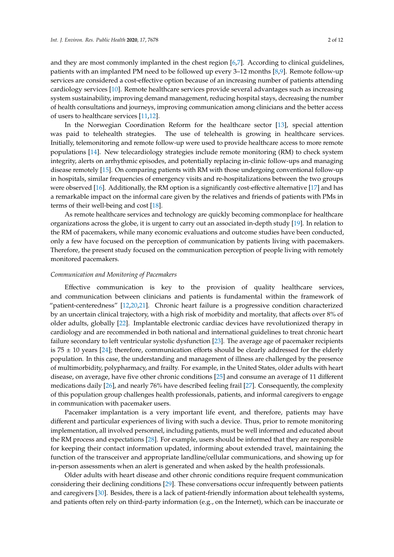and they are most commonly implanted in the chest region [\[6,](#page-9-5)[7\]](#page-9-6). According to clinical guidelines, patients with an implanted PM need to be followed up every 3–12 months [\[8](#page-9-7)[,9\]](#page-9-8). Remote follow-up services are considered a cost-effective option because of an increasing number of patients attending cardiology services [\[10\]](#page-9-9). Remote healthcare services provide several advantages such as increasing system sustainability, improving demand management, reducing hospital stays, decreasing the number of health consultations and journeys, improving communication among clinicians and the better access of users to healthcare services [\[11,](#page-9-10)[12\]](#page-9-11).

In the Norwegian Coordination Reform for the healthcare sector [\[13\]](#page-10-0), special attention was paid to telehealth strategies. The use of telehealth is growing in healthcare services. Initially, telemonitoring and remote follow-up were used to provide healthcare access to more remote populations [\[14\]](#page-10-1). New telecardiology strategies include remote monitoring (RM) to check system integrity, alerts on arrhythmic episodes, and potentially replacing in-clinic follow-ups and managing disease remotely [\[15\]](#page-10-2). On comparing patients with RM with those undergoing conventional follow-up in hospitals, similar frequencies of emergency visits and re-hospitalizations between the two groups were observed [\[16\]](#page-10-3). Additionally, the RM option is a significantly cost-effective alternative [\[17\]](#page-10-4) and has a remarkable impact on the informal care given by the relatives and friends of patients with PMs in terms of their well-being and cost [\[18\]](#page-10-5).

As remote healthcare services and technology are quickly becoming commonplace for healthcare organizations across the globe, it is urgent to carry out an associated in-depth study [\[19\]](#page-10-6). In relation to the RM of pacemakers, while many economic evaluations and outcome studies have been conducted, only a few have focused on the perception of communication by patients living with pacemakers. Therefore, the present study focused on the communication perception of people living with remotely monitored pacemakers.

#### *Communication and Monitoring of Pacemakers*

Effective communication is key to the provision of quality healthcare services, and communication between clinicians and patients is fundamental within the framework of "patient-centeredness" [\[12](#page-9-11)[,20,](#page-10-7)[21\]](#page-10-8). Chronic heart failure is a progressive condition characterized by an uncertain clinical trajectory, with a high risk of morbidity and mortality, that affects over 8% of older adults, globally [\[22\]](#page-10-9). Implantable electronic cardiac devices have revolutionized therapy in cardiology and are recommended in both national and international guidelines to treat chronic heart failure secondary to left ventricular systolic dysfunction [\[23\]](#page-10-10). The average age of pacemaker recipients is  $75 \pm 10$  years [\[24\]](#page-10-11); therefore, communication efforts should be clearly addressed for the elderly population. In this case, the understanding and management of illness are challenged by the presence of multimorbidity, polypharmacy, and frailty. For example, in the United States, older adults with heart disease, on average, have five other chronic conditions [\[25\]](#page-10-12) and consume an average of 11 different medications daily [\[26\]](#page-10-13), and nearly 76% have described feeling frail [\[27\]](#page-10-14). Consequently, the complexity of this population group challenges health professionals, patients, and informal caregivers to engage in communication with pacemaker users.

Pacemaker implantation is a very important life event, and therefore, patients may have different and particular experiences of living with such a device. Thus, prior to remote monitoring implementation, all involved personnel, including patients, must be well informed and educated about the RM process and expectations [\[28\]](#page-10-15). For example, users should be informed that they are responsible for keeping their contact information updated, informing about extended travel, maintaining the function of the transceiver and appropriate landline/cellular communications, and showing up for in-person assessments when an alert is generated and when asked by the health professionals.

Older adults with heart disease and other chronic conditions require frequent communication considering their declining conditions [\[29\]](#page-10-16). These conversations occur infrequently between patients and caregivers [\[30\]](#page-10-17). Besides, there is a lack of patient-friendly information about telehealth systems, and patients often rely on third-party information (e.g., on the Internet), which can be inaccurate or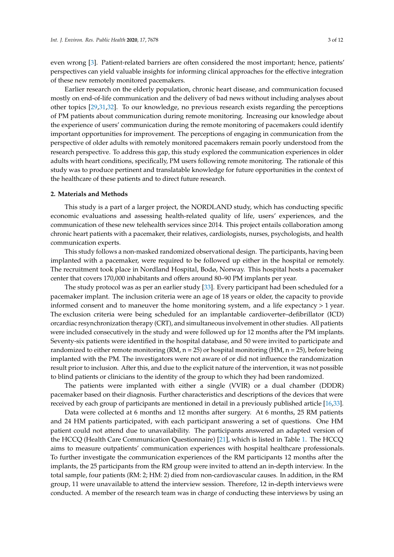even wrong [\[3\]](#page-9-2). Patient-related barriers are often considered the most important; hence, patients' perspectives can yield valuable insights for informing clinical approaches for the effective integration of these new remotely monitored pacemakers.

Earlier research on the elderly population, chronic heart disease, and communication focused mostly on end-of-life communication and the delivery of bad news without including analyses about other topics [\[29,](#page-10-16)[31,](#page-10-18)[32\]](#page-10-19). To our knowledge, no previous research exists regarding the perceptions of PM patients about communication during remote monitoring. Increasing our knowledge about the experience of users' communication during the remote monitoring of pacemakers could identify important opportunities for improvement. The perceptions of engaging in communication from the perspective of older adults with remotely monitored pacemakers remain poorly understood from the research perspective. To address this gap, this study explored the communication experiences in older adults with heart conditions, specifically, PM users following remote monitoring. The rationale of this study was to produce pertinent and translatable knowledge for future opportunities in the context of the healthcare of these patients and to direct future research.

#### **2. Materials and Methods**

This study is a part of a larger project, the NORDLAND study, which has conducting specific economic evaluations and assessing health-related quality of life, users' experiences, and the communication of these new telehealth services since 2014. This project entails collaboration among chronic heart patients with a pacemaker, their relatives, cardiologists, nurses, psychologists, and health communication experts.

This study follows a non-masked randomized observational design. The participants, having been implanted with a pacemaker, were required to be followed up either in the hospital or remotely. The recruitment took place in Nordland Hospital, Bodø, Norway. This hospital hosts a pacemaker center that covers 170,000 inhabitants and offers around 80–90 PM implants per year.

The study protocol was as per an earlier study [\[33\]](#page-10-20). Every participant had been scheduled for a pacemaker implant. The inclusion criteria were an age of 18 years or older, the capacity to provide informed consent and to maneuver the home monitoring system, and a life expectancy > 1 year. The exclusion criteria were being scheduled for an implantable cardioverter–defibrillator (ICD) orcardiac resynchronization therapy (CRT), and simultaneous involvement in other studies. All patients were included consecutively in the study and were followed up for 12 months after the PM implants. Seventy-six patients were identified in the hospital database, and 50 were invited to participate and randomized to either remote monitoring (RM,  $n = 25$ ) or hospital monitoring (HM,  $n = 25$ ), before being implanted with the PM. The investigators were not aware of or did not influence the randomization result prior to inclusion. After this, and due to the explicit nature of the intervention, it was not possible to blind patients or clinicians to the identity of the group to which they had been randomized.

The patients were implanted with either a single (VVIR) or a dual chamber (DDDR) pacemaker based on their diagnosis. Further characteristics and descriptions of the devices that were received by each group of participants are mentioned in detail in a previously published article [\[16](#page-10-3)[,33\]](#page-10-20).

Data were collected at 6 months and 12 months after surgery. At 6 months, 25 RM patients and 24 HM patients participated, with each participant answering a set of questions. One HM patient could not attend due to unavailability. The participants answered an adapted version of the HCCQ (Health Care Communication Questionnaire) [\[21\]](#page-10-8), which is listed in Table [1.](#page-3-0) The HCCQ aims to measure outpatients' communication experiences with hospital healthcare professionals. To further investigate the communication experiences of the RM participants 12 months after the implants, the 25 participants from the RM group were invited to attend an in-depth interview. In the total sample, four patients (RM: 2; HM: 2) died from non-cardiovascular causes. In addition, in the RM group, 11 were unavailable to attend the interview session. Therefore, 12 in-depth interviews were conducted. A member of the research team was in charge of conducting these interviews by using an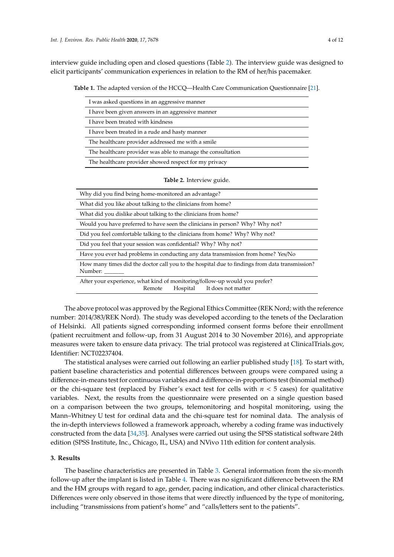<span id="page-3-0"></span>interview guide including open and closed questions (Table [2\)](#page-3-1). The interview guide was designed to elicit participants' communication experiences in relation to the RM of her/his pacemaker.

**Table 1.** The adapted version of the HCCQ—Health Care Communication Questionnaire [\[21\]](#page-10-8).

| I was asked questions in an aggressive manner               |
|-------------------------------------------------------------|
| I have been given answers in an aggressive manner           |
| I have been treated with kindness                           |
| I have been treated in a rude and hasty manner              |
| The healthcare provider addressed me with a smile           |
| The healthcare provider was able to manage the consultation |
| The healthcare provider showed respect for my privacy       |
| Table 2. Interview guide.                                   |

<span id="page-3-1"></span>

| Why did you find being home-monitored an advantage?                                                                    |
|------------------------------------------------------------------------------------------------------------------------|
| What did you like about talking to the clinicians from home?                                                           |
| What did you dislike about talking to the clinicians from home?                                                        |
| Would you have preferred to have seen the clinicians in person? Why? Why not?                                          |
| Did you feel comfortable talking to the clinicians from home? Why? Why not?                                            |
| Did you feel that your session was confidential? Why? Why not?                                                         |
| Have you ever had problems in conducting any data transmission from home? Yes/No                                       |
| How many times did the doctor call you to the hospital due to findings from data transmission?<br>Number:              |
| After your experience, what kind of monitoring/follow-up would you prefer?<br>It does not matter<br>Hospital<br>Remote |

The above protocol was approved by the Regional Ethics Committee (REK Nord; with the reference number: 2014/383/REK Nord). The study was developed according to the tenets of the Declaration of Helsinki. All patients signed corresponding informed consent forms before their enrollment (patient recruitment and follow-up, from 31 August 2014 to 30 November 2016), and appropriate measures were taken to ensure data privacy. The trial protocol was registered at ClinicalTrials.gov, Identifier: NCT02237404.

The statistical analyses were carried out following an earlier published study [\[18\]](#page-10-5). To start with, patient baseline characteristics and potential differences between groups were compared using a difference-in-means test for continuous variables and a difference-in-proportions test (binomial method) or the chi-square test (replaced by Fisher's exact test for cells with  $n < 5$  cases) for qualitative variables. Next, the results from the questionnaire were presented on a single question based on a comparison between the two groups, telemonitoring and hospital monitoring, using the Mann–Whitney U test for ordinal data and the chi-square test for nominal data. The analysis of the in-depth interviews followed a framework approach, whereby a coding frame was inductively constructed from the data [\[34,](#page-11-0)[35\]](#page-11-1). Analyses were carried out using the SPSS statistical software 24th edition (SPSS Institute, Inc., Chicago, IL, USA) and NVivo 11th edition for content analysis.

## **3. Results**

The baseline characteristics are presented in Table [3.](#page-4-0) General information from the six-month follow-up after the implant is listed in Table [4.](#page-5-0) There was no significant difference between the RM and the HM groups with regard to age, gender, pacing indication, and other clinical characteristics. Differences were only observed in those items that were directly influenced by the type of monitoring, including "transmissions from patient's home" and "calls/letters sent to the patients".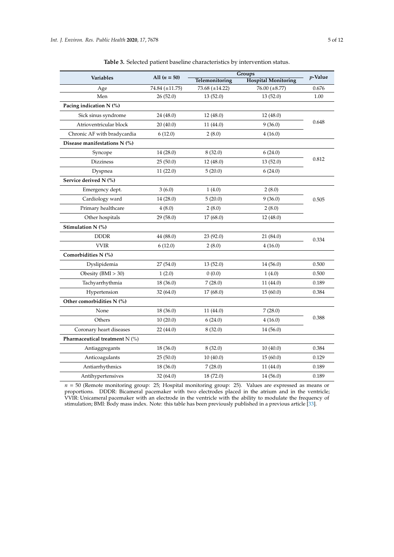| Table 3. Selected patient baseline characteristics by intervention status. |
|----------------------------------------------------------------------------|
|----------------------------------------------------------------------------|

<span id="page-4-0"></span>

|                                  | Groups         |                |                            |            |
|----------------------------------|----------------|----------------|----------------------------|------------|
| Variables                        | All $(n = 50)$ | Telemonitoring | <b>Hospital Monitoring</b> | $p$ -Value |
| Age                              | 74.84 (±11.75) | 73.68 (±14.22) | $76.00 \ (\pm 8.77)$       | 0.676      |
| Men                              | 26 (52.0)      | 13(52.0)       | 13(52.0)                   | 1.00       |
| Pacing indication N (%)          |                |                |                            |            |
| Sick sinus syndrome              | 24 (48.0)      | 12(48.0)       | 12(48.0)                   |            |
| Atrioventricular block           | 20 (40.0)      | 11 (44.0)      | 9(36.0)                    | 0.648      |
| Chronic AF with bradycardia      | 6(12.0)        | 2(8.0)         | 4(16.0)                    |            |
| Disease manifestations N (%)     |                |                |                            |            |
| Syncope                          | 14 (28.0)      | 8(32.0)        | 6(24.0)                    |            |
| <b>Dizziness</b>                 | 25(50.0)       | 12(48.0)       | 13(52.0)                   | 0.812      |
| Dyspnea                          | 11(22.0)       | 5(20.0)        | 6(24.0)                    |            |
| Service derived N (%)            |                |                |                            |            |
| Emergency dept.                  | 3(6.0)         | 1(4.0)         | 2(8.0)                     |            |
| Cardiology ward                  | 14 (28.0)      | 5(20.0)        | 9(36.0)                    | 0.505      |
| Primary healthcare               | 4(8.0)         | 2(8.0)         | 2(8.0)                     |            |
| Other hospitals                  | 29 (58.0)      | 17(68.0)       | 12(48.0)                   |            |
| Stimulation N (%)                |                |                |                            |            |
| <b>DDDR</b>                      | 44 (88.0)      | 23(92.0)       | 21 (84.0)                  | 0.334      |
| <b>VVIR</b>                      | 6(12.0)        | 2(8.0)         | 4(16.0)                    |            |
| Comorbidities N (%)              |                |                |                            |            |
| Dyslipidemia                     | 27 (54.0)      | 13 (52.0)      | 14 (56.0)                  | 0.500      |
| Obesity $(BMI > 30)$             | 1(2.0)         | 0(0.0)         | 1(4.0)                     | 0.500      |
| Tachyarrhythmia                  | 18 (36.0)      | 7(28.0)        | 11(44.0)                   | 0.189      |
| Hypertension                     | 32 (64.0)      | 17(68.0)       | 15(60.0)                   | 0.384      |
| Other comorbidities N (%)        |                |                |                            |            |
| None                             | 18 (36.0)      | 11 (44.0)      | 7(28.0)                    | 0.388      |
| Others                           | 10(20.0)       | 6(24.0)        | 4(16.0)                    |            |
| Coronary heart diseases          | 22 (44.0)      | 8(32.0)        | 14 (56.0)                  |            |
| Pharmaceutical treatment $N$ (%) |                |                |                            |            |
| Antiaggregants                   | 18 (36.0)      | 8(32.0)        | 10(40.0)                   | 0.384      |
| Anticoagulants                   | 25(50.0)       | 10(40.0)       | 15(60.0)                   | 0.129      |
| Antiarrhythmics                  | 18 (36.0)      | 7(28.0)        | 11(44.0)                   | 0.189      |
| Antihypertensives                | 32 (64.0)      | 18 (72.0)      | 14 (56.0)                  | 0.189      |
|                                  |                |                |                            |            |

*n* = 50 (Remote monitoring group: 25; Hospital monitoring group: 25). Values are expressed as means or proportions. DDDR: Bicameral pacemaker with two electrodes placed in the atrium and in the ventricle; VVIR: Unicameral pacemaker with an electrode in the ventricle with the ability to modulate the frequency of stimulation; BMI: Body mass index. Note: this table has been previously published in a previous article [\[33\]](#page-10-20).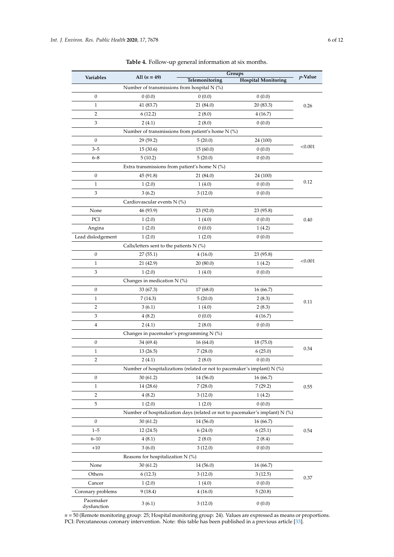<span id="page-5-0"></span>

| Variables         | All $(n = 49)$                              | Groups                                                                     |                                                                              | $p$ -Value |
|-------------------|---------------------------------------------|----------------------------------------------------------------------------|------------------------------------------------------------------------------|------------|
|                   |                                             | Telemonitoring                                                             | <b>Hospital Monitoring</b>                                                   |            |
|                   | Number of transmissions from hospital N (%) |                                                                            |                                                                              |            |
| 0                 | 0(0.0)                                      | 0(0.0)                                                                     | 0(0.0)                                                                       |            |
| $\mathbf{1}$      | 41 (83.7)                                   | 21 (84.0)                                                                  | 20(83.3)                                                                     | 0.26       |
| 2                 | 6(12.2)                                     | 2(8.0)                                                                     | 4(16.7)                                                                      |            |
| 3                 | 2(4.1)                                      | 2(8.0)                                                                     | 0(0.0)                                                                       |            |
|                   |                                             | Number of transmissions from patient's home N (%)                          |                                                                              |            |
| 0                 | 29 (59.2)                                   | 5(20.0)                                                                    | 24 (100)                                                                     | < 0.001    |
| $3 - 5$           | 15(30.6)                                    | 15(60.0)                                                                   | 0(0.0)                                                                       |            |
| $6 - 8$           | 5(10.2)                                     | 5(20.0)                                                                    | 0(0.0)                                                                       |            |
|                   |                                             | Extra transmissions from patient's home N (%)                              |                                                                              |            |
| 0                 | 45 (91.8)                                   | 21 (84.0)                                                                  | 24 (100)                                                                     | 0.12       |
| $\mathbf{1}$      | 1(2.0)                                      | 1(4.0)                                                                     | 0(0.0)                                                                       |            |
| 3                 | 3(6.2)                                      | 3(12.0)                                                                    | 0(0.0)                                                                       |            |
|                   | Cardiovascular events N (%)                 |                                                                            |                                                                              |            |
| None              | 46 (93.9)                                   | 23(92.0)                                                                   | 23 (95.8)                                                                    |            |
| PCI               | 1(2.0)                                      | 1(4.0)                                                                     | 0(0.0)                                                                       | 0.40       |
| Angina            | 1(2.0)                                      | 0(0.0)                                                                     | 1(4.2)                                                                       |            |
| Lead dislodgement | 1(2.0)                                      | 1(2.0)                                                                     | 0(0.0)                                                                       |            |
|                   | Calls/letters sent to the patients $N$ (%)  |                                                                            |                                                                              |            |
| 0                 | 27(55.1)                                    | 4(16.0)                                                                    | 23(95.8)                                                                     |            |
| $\mathbf{1}$      | 21 (42.9)                                   | 20(80.0)                                                                   | 1(4.2)                                                                       | < 0.001    |
| 3                 | 1(2.0)                                      | 1(4.0)                                                                     | 0(0.0)                                                                       |            |
|                   | Changes in medication $N$ (%)               |                                                                            |                                                                              |            |
| 0                 | 33 (67.3)                                   | 17 (68.0)                                                                  | 16(66.7)                                                                     |            |
| $\mathbf{1}$      | 7(14.3)                                     | 5(20.0)                                                                    | 2(8.3)                                                                       | 0.11       |
| 2                 | 3(6.1)                                      | 1(4.0)                                                                     | 2(8.3)                                                                       |            |
| 3                 | 4(8.2)                                      | 0(0.0)                                                                     | 4(16.7)                                                                      |            |
| 4                 | 2(4.1)                                      | 2(8.0)                                                                     | 0(0.0)                                                                       |            |
|                   | Changes in pacemaker's programming N (%)    |                                                                            |                                                                              |            |
| 0                 | 34 (69.4)                                   | 16(64.0)                                                                   | 18 (75.0)                                                                    |            |
| $\mathbf{1}$      | 13(26.5)                                    | 7(28.0)                                                                    | 6(25.0)                                                                      | 0.34       |
| $\overline{2}$    | 2(4.1)                                      | 2(8.0)                                                                     | 0(0.0)                                                                       |            |
|                   |                                             | Number of hospitalizations (related or not to pacemaker's implant) $N$ (%) |                                                                              |            |
| 0                 | 30(61.2)                                    | 14 (56.0)                                                                  | 16 (66.7)                                                                    | 0.55       |
| $\mathbf{1}$      | 14 (28.6)                                   | 7(28.0)                                                                    | 7(29.2)                                                                      |            |
| 2                 | 4(8.2)                                      | 3(12.0)                                                                    | 1(4.2)                                                                       |            |
| $\mathbf 5$       | 1(2.0)                                      | 1(2.0)                                                                     | 0(0.0)                                                                       |            |
|                   |                                             |                                                                            | Number of hospitalization days (related or not to pacemaker's implant) N (%) |            |
| $\boldsymbol{0}$  | 30(61.2)                                    | 14 (56.0)                                                                  | 16(66.7)                                                                     |            |
| $1 - 5$           | 12(24.5)                                    | 6(24.0)                                                                    | 6(25.1)                                                                      | 0.54       |
| $6 - 10$          | 4(8.1)                                      | 2(8.0)                                                                     | 2(8.4)                                                                       |            |
| $+10$             | 3(6.0)                                      | 3(12.0)                                                                    | 0(0.0)                                                                       |            |
|                   | Reasons for hospitalization $N$ (%)         |                                                                            |                                                                              |            |
| None              | 30(61.2)                                    | 14 (56.0)                                                                  | 16 (66.7)                                                                    | 0.37       |
| Others            | 6(12.3)                                     | 3(12.0)                                                                    | 3(12.5)                                                                      |            |
| Cancer            | 1(2.0)                                      | 1(4.0)                                                                     | 0(0.0)                                                                       |            |
| Coronary problems | 9(18.4)                                     | 4(16.0)                                                                    | 5(20.8)                                                                      |            |
| Pacemaker         |                                             |                                                                            |                                                                              |            |
| dysfunction       | 3(6.1)                                      | 3(12.0)                                                                    | 0(0.0)                                                                       |            |

**Table 4.** Follow-up general information at six months.

*n* = 50 (Remote monitoring group: 25; Hospital monitoring group: 24). Values are expressed as means or proportions. PCI: Percutaneous coronary intervention. Note: this table has been published in a previous article [\[33\]](#page-10-20).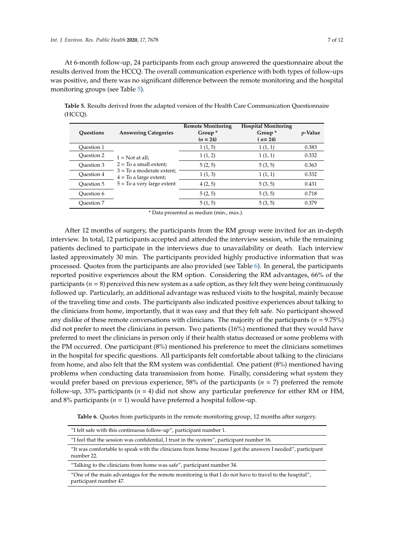At 6-month follow-up, 24 participants from each group answered the questionnaire about the results derived from the HCCQ. The overall communication experience with both types of follow-ups was positive, and there was no significant difference between the remote monitoring and the hospital monitoring groups (see Table [5\)](#page-6-0).

<span id="page-6-0"></span>**Table 5.** Results derived from the adapted version of the Health Care Communication Questionnaire (HCCQ).

| Questions  | <b>Answering Categories</b>                                                                                                              | <b>Remote Monitoring</b><br>Group <sup>*</sup><br>$(n = 24)$ | <b>Hospital Monitoring</b><br>Group <sup>*</sup><br>$(n=24)$ | <i>p</i> -Value |
|------------|------------------------------------------------------------------------------------------------------------------------------------------|--------------------------------------------------------------|--------------------------------------------------------------|-----------------|
| Ouestion 1 | $1 = Not at all;$<br>$2 = To a small extent;$<br>$3 =$ To a moderate extent;<br>$4 =$ To a large extent;<br>$5 =$ To a very large extent | 1(1, 5)                                                      | 1(1,1)                                                       | 0.383           |
| Ouestion 2 |                                                                                                                                          | 1(1, 2)                                                      | 1(1,1)                                                       | 0.332           |
| Ouestion 3 |                                                                                                                                          | 5(2, 5)                                                      | 5(3, 5)                                                      | 0.363           |
| Question 4 |                                                                                                                                          | 1(1, 3)                                                      | 1(1,1)                                                       | 0.332           |
| Ouestion 5 |                                                                                                                                          | 4(2, 5)                                                      | 5(3, 5)                                                      | 0.431           |
| Ouestion 6 |                                                                                                                                          | 5(2, 5)                                                      | 5(3, 5)                                                      | 0.718           |
| Ouestion 7 |                                                                                                                                          | 5(1, 5)                                                      | 5(3, 5)                                                      | 0.379           |

\* Data presented as median (min., max.).

After 12 months of surgery, the participants from the RM group were invited for an in-depth interview. In total, 12 participants accepted and attended the interview session, while the remaining patients declined to participate in the interviews due to unavailability or death. Each interview lasted approximately 30 min. The participants provided highly productive information that was processed. Quotes from the participants are also provided (see Table [6\)](#page-6-1). In general, the participants reported positive experiences about the RM option. Considering the RM advantages, 66% of the participants (*n* = 8) perceived this new system as a safe option, as they felt they were being continuously followed up. Particularly, an additional advantage was reduced visits to the hospital, mainly because of the traveling time and costs. The participants also indicated positive experiences about talking to the clinicians from home, importantly, that it was easy and that they felt safe. No participant showed any dislike of these remote conversations with clinicians. The majority of the participants (*n* = 9.75%) did not prefer to meet the clinicians in person. Two patients (16%) mentioned that they would have preferred to meet the clinicians in person only if their health status decreased or some problems with the PM occurred. One participant (8%) mentioned his preference to meet the clinicians sometimes in the hospital for specific questions. All participants felt comfortable about talking to the clinicians from home, and also felt that the RM system was confidential. One patient (8%) mentioned having problems when conducting data transmission from home. Finally, considering what system they would prefer based on previous experience, 58% of the participants (*n* = 7) preferred the remote follow-up, 33% participants (*n* = 4) did not show any particular preference for either RM or HM, and 8% participants ( $n = 1$ ) would have preferred a hospital follow-up.

**Table 6.** Quotes from participants in the remote monitoring group, 12 months after surgery.

<span id="page-6-1"></span>

| "I felt safe with this continuous follow-up", participant number 1.                                                               |
|-----------------------------------------------------------------------------------------------------------------------------------|
| "I feel that the session was confidential, I trust in the system", participant number 16.                                         |
| "It was comfortable to speak with the clinicians from home because I got the answers I needed", participant<br>number 22.         |
| "Talking to the clinicians from home was safe", participant number 34.                                                            |
| "One of the main advantages for the remote monitoring is that I do not have to travel to the hospital",<br>participant number 47. |
|                                                                                                                                   |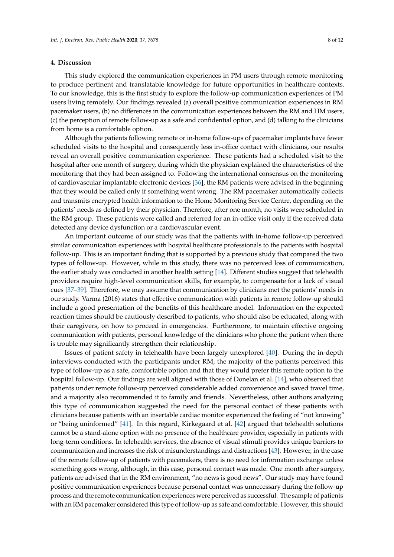### **4. Discussion**

This study explored the communication experiences in PM users through remote monitoring to produce pertinent and translatable knowledge for future opportunities in healthcare contexts. To our knowledge, this is the first study to explore the follow-up communication experiences of PM users living remotely. Our findings revealed (a) overall positive communication experiences in RM pacemaker users, (b) no differences in the communication experiences between the RM and HM users, (c) the perception of remote follow-up as a safe and confidential option, and (d) talking to the clinicians from home is a comfortable option.

Although the patients following remote or in-home follow-ups of pacemaker implants have fewer scheduled visits to the hospital and consequently less in-office contact with clinicians, our results reveal an overall positive communication experience. These patients had a scheduled visit to the hospital after one month of surgery, during which the physician explained the characteristics of the monitoring that they had been assigned to. Following the international consensus on the monitoring of cardiovascular implantable electronic devices [\[36\]](#page-11-2), the RM patients were advised in the beginning that they would be called only if something went wrong. The RM pacemaker automatically collects and transmits encrypted health information to the Home Monitoring Service Centre, depending on the patients' needs as defined by their physician. Therefore, after one month, no visits were scheduled in the RM group. These patients were called and referred for an in-office visit only if the received data detected any device dysfunction or a cardiovascular event.

An important outcome of our study was that the patients with in-home follow-up perceived similar communication experiences with hospital healthcare professionals to the patients with hospital follow-up. This is an important finding that is supported by a previous study that compared the two types of follow-up. However, while in this study, there was no perceived loss of communication, the earlier study was conducted in another health setting [\[14\]](#page-10-1). Different studies suggest that telehealth providers require high-level communication skills, for example, to compensate for a lack of visual cues [\[37–](#page-11-3)[39\]](#page-11-4). Therefore, we may assume that communication by clinicians met the patients' needs in our study. Varma (2016) states that effective communication with patients in remote follow-up should include a good presentation of the benefits of this healthcare model. Information on the expected reaction times should be cautiously described to patients, who should also be educated, along with their caregivers, on how to proceed in emergencies. Furthermore, to maintain effective ongoing communication with patients, personal knowledge of the clinicians who phone the patient when there is trouble may significantly strengthen their relationship.

Issues of patient safety in telehealth have been largely unexplored [\[40\]](#page-11-5). During the in-depth interviews conducted with the participants under RM, the majority of the patients perceived this type of follow-up as a safe, comfortable option and that they would prefer this remote option to the hospital follow-up. Our findings are well aligned with those of Donelan et al. [\[14\]](#page-10-1), who observed that patients under remote follow-up perceived considerable added convenience and saved travel time, and a majority also recommended it to family and friends. Nevertheless, other authors analyzing this type of communication suggested the need for the personal contact of these patients with clinicians because patients with an insertable cardiac monitor experienced the feeling of "not knowing" or "being uninformed" [\[41\]](#page-11-6). In this regard, Kirkegaard et al. [\[42\]](#page-11-7) argued that telehealth solutions cannot be a stand-alone option with no presence of the healthcare provider, especially in patients with long-term conditions. In telehealth services, the absence of visual stimuli provides unique barriers to communication and increases the risk of misunderstandings and distractions [\[43\]](#page-11-8). However, in the case of the remote follow-up of patients with pacemakers, there is no need for information exchange unless something goes wrong, although, in this case, personal contact was made. One month after surgery, patients are advised that in the RM environment, "no news is good news". Our study may have found positive communication experiences because personal contact was unnecessary during the follow-up process and the remote communication experiences were perceived as successful. The sample of patients with an RM pacemaker considered this type of follow-up as safe and comfortable. However, this should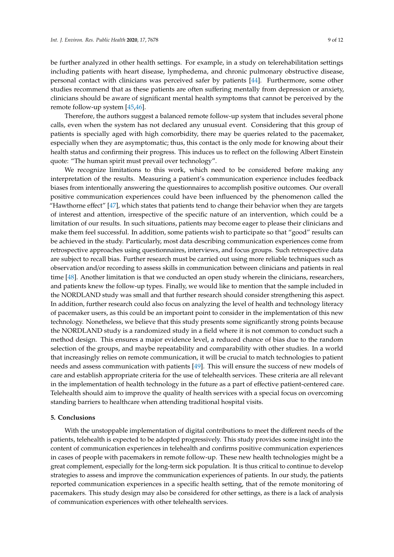be further analyzed in other health settings. For example, in a study on telerehabilitation settings including patients with heart disease, lymphedema, and chronic pulmonary obstructive disease, personal contact with clinicians was perceived safer by patients [\[44\]](#page-11-9). Furthermore, some other studies recommend that as these patients are often suffering mentally from depression or anxiety, clinicians should be aware of significant mental health symptoms that cannot be perceived by the remote follow-up system [\[45](#page-11-10)[,46\]](#page-11-11).

Therefore, the authors suggest a balanced remote follow-up system that includes several phone calls, even when the system has not declared any unusual event. Considering that this group of patients is specially aged with high comorbidity, there may be queries related to the pacemaker, especially when they are asymptomatic; thus, this contact is the only mode for knowing about their health status and confirming their progress. This induces us to reflect on the following Albert Einstein quote: "The human spirit must prevail over technology".

We recognize limitations to this work, which need to be considered before making any interpretation of the results. Measuring a patient's communication experience includes feedback biases from intentionally answering the questionnaires to accomplish positive outcomes. Our overall positive communication experiences could have been influenced by the phenomenon called the "Hawthorne effect" [\[47\]](#page-11-12), which states that patients tend to change their behavior when they are targets of interest and attention, irrespective of the specific nature of an intervention, which could be a limitation of our results. In such situations, patients may become eager to please their clinicians and make them feel successful. In addition, some patients wish to participate so that "good" results can be achieved in the study. Particularly, most data describing communication experiences come from retrospective approaches using questionnaires, interviews, and focus groups. Such retrospective data are subject to recall bias. Further research must be carried out using more reliable techniques such as observation and/or recording to assess skills in communication between clinicians and patients in real time [\[48\]](#page-11-13). Another limitation is that we conducted an open study wherein the clinicians, researchers, and patients knew the follow-up types. Finally, we would like to mention that the sample included in the NORDLAND study was small and that further research should consider strengthening this aspect. In addition, further research could also focus on analyzing the level of health and technology literacy of pacemaker users, as this could be an important point to consider in the implementation of this new technology. Nonetheless, we believe that this study presents some significantly strong points because the NORDLAND study is a randomized study in a field where it is not common to conduct such a method design. This ensures a major evidence level, a reduced chance of bias due to the random selection of the groups, and maybe repeatability and comparability with other studies. In a world that increasingly relies on remote communication, it will be crucial to match technologies to patient needs and assess communication with patients [\[49\]](#page-11-14). This will ensure the success of new models of care and establish appropriate criteria for the use of telehealth services. These criteria are all relevant in the implementation of health technology in the future as a part of effective patient-centered care. Telehealth should aim to improve the quality of health services with a special focus on overcoming standing barriers to healthcare when attending traditional hospital visits.

### **5. Conclusions**

With the unstoppable implementation of digital contributions to meet the different needs of the patients, telehealth is expected to be adopted progressively. This study provides some insight into the content of communication experiences in telehealth and confirms positive communication experiences in cases of people with pacemakers in remote follow-up. These new health technologies might be a great complement, especially for the long-term sick population. It is thus critical to continue to develop strategies to assess and improve the communication experiences of patients. In our study, the patients reported communication experiences in a specific health setting, that of the remote monitoring of pacemakers. This study design may also be considered for other settings, as there is a lack of analysis of communication experiences with other telehealth services.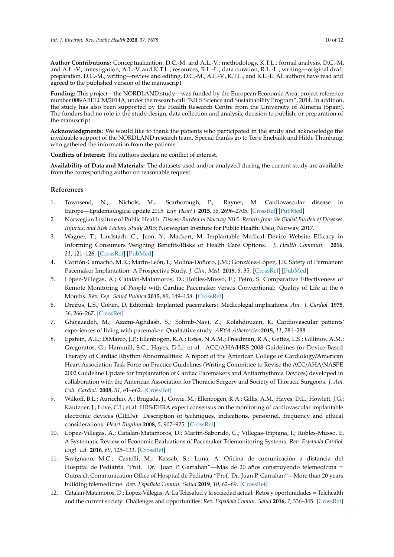**Author Contributions:** Conceptualization, D.C.-M. and A.L.-V.; methodology, K.T.L.; formal analysis, D.C.-M. and A.L.-V.; investigation, A.L.-V. and K.T.L.; resources, R.L.-L.; data curation, R.L.-L.; writing—original draft preparation, D.C.-M.; writing—review and editing, D.C.-M., A.L.-V., K.T.L., and R.L.-L. All authors have read and agreed to the published version of the manuscript.

**Funding:** This project—the NORDLAND study—was funded by the European Economic Area, project reference number 008/ABELCM/2014A, under the research call "NILS Science and Sustainability Program", 2014. In addition, the study has also been supported by the Health Research Centre from the University of Almeria (Spain). The funders had no role in the study design, data collection and analysis, decision to publish, or preparation of the manuscript.

**Acknowledgments:** We would like to thank the patients who participated in the study and acknowledge the invaluable support of the NORDLAND research team. Special thanks go to Terje Enebakk and Hilde Thunhaug, who gathered the information from the patients.

**Conflicts of Interest:** The authors declare no conflict of interest.

**Availability of Data and Materials:** The datasets used and/or analyzed during the current study are available from the corresponding author on reasonable request.

# **References**

- <span id="page-9-0"></span>1. Townsend, N.; Nichols, M.; Scarborough, P.; Rayner, M. Cardiovascular disease in Europe—Epidemiological update 2015. *Eur. Heart J.* **2015**, *36*, 2696–2705. [\[CrossRef\]](http://dx.doi.org/10.1093/eurheartj/ehv428) [\[PubMed\]](http://www.ncbi.nlm.nih.gov/pubmed/26306399)
- <span id="page-9-1"></span>2. Norwegian Institute of Public Health. *Disease Burden in Norway 2015. Results from the Global Burden of Diseases, Injuries, and Risk Factors Study 2015*; Norwegian Institute for Public Health: Oslo, Norway, 2017.
- <span id="page-9-2"></span>3. Wagner, T.; Lindstadt, C.; Jeon, Y.; Mackert, M. Implantable Medical Device Website Efficacy in Informing Consumers Weighing Benefits/Risks of Health Care Options. *J. Health Commun.* **2016**, *21*, 121–126. [\[CrossRef\]](http://dx.doi.org/10.1080/10810730.2016.1201173) [\[PubMed\]](http://www.ncbi.nlm.nih.gov/pubmed/27662117)
- <span id="page-9-3"></span>4. Carrión-Camacho, M.R.; Marín-León, I.; Molina-Doñoro, J.M.; González-López, J.R. Safety of Permanent Pacemaker Implantation: A Prospective Study. *J. Clin. Med.* **2019**, *8*, 35. [\[CrossRef\]](http://dx.doi.org/10.3390/jcm8010035) [\[PubMed\]](http://www.ncbi.nlm.nih.gov/pubmed/30609668)
- <span id="page-9-4"></span>5. López-Villegas, A.; Catalán-Matamoros, D.; Robles-Musso, E.; Peiró, S. Comparative Effectiveness of Remote Monitoring of People with Cardiac Pacemaker versus Conventional: Quality of Life at the 6 Months. *Rev. Esp. Salud Publica* **2015**, *89*, 149–158. [\[CrossRef\]](http://dx.doi.org/10.4321/S1135-57272015000200004)
- <span id="page-9-5"></span>6. Dreifus, L.S.; Cohen, D. Editorial: Implanted pacemakers: Medicolegal implications. *Am. J. Cardiol.* **1975**, *36*, 266–267. [\[CrossRef\]](http://dx.doi.org/10.1016/0002-9149(75)90536-6)
- <span id="page-9-6"></span>7. Ghojazadeh, M.; Azami-Aghdash, S.; Sohrab-Navi, Z.; Kolahdouzan, K. Cardiovascular patients' experiences of living with pacemaker: Qualitative study. *ARYA Atheroscler* **2015**, *11*, 281–288.
- <span id="page-9-7"></span>8. Epstein, A.E.; DiMarco, J.P.; Ellenbogen, K.A.; Estes, N.A.M.; Freedman, R.A.; Gettes, L.S.; Gillinov, A.M.; Gregoratos, G.; Hammill, S.C.; Hayes, D.L.; et al. ACC/AHA/HRS 2008 Guidelines for Device-Based Therapy of Cardiac Rhythm Abnormalities: A report of the American College of Cardiology/American Heart Association Task Force on Practice Guidelines (Writing Committee to Revise the ACC/AHA/NASPE 2002 Guideline Update for Implantation of Cardiac Pacemakers and Antiarrhythmia Devices) developed in collaboration with the American Association for Thoracic Surgery and Society of Thoracic Surgeons. *J. Am. Coll. Cardiol.* **2008**, *51*, e1–e62. [\[CrossRef\]](http://dx.doi.org/10.1016/j.jacc.2008.02.032)
- <span id="page-9-8"></span>9. Wilkoff, B.L.; Auricchio, A.; Brugada, J.; Cowie, M.; Ellenbogen, K.A.; Gillis, A.M.; Hayes, D.L.; Howlett, J.G.; Kautzner, J.; Love, C.J.; et al. HRS/EHRA expert consensus on the monitoring of cardiovascular implantable electronic devices (CIEDs): Description of techniques, indications, personnel, frequency and ethical considerations. *Heart Rhythm* **2008**, *5*, 907–925. [\[CrossRef\]](http://dx.doi.org/10.1016/j.hrthm.2008.04.013)
- <span id="page-9-9"></span>10. Lopez-Villegas, A.; Catalan-Matamoros, D.; Martín-Saborido, C.; Villegas-Tripiana, I.; Robles-Musso, E. A Systematic Review of Economic Evaluations of Pacemaker Telemonitoring Systems. *Rev. Española Cardiol. Engl. Ed.* **2016**, *69*, 125–133. [\[CrossRef\]](http://dx.doi.org/10.1016/j.rec.2015.06.020)
- <span id="page-9-10"></span>11. Savignano, M.C.; Castelli, M.; Kassab, S.; Luna, A. Oficina de comunicación a distancia del Hospital de Pediatría "Prof. Dr. Juan P. Garrahan"—Más de 20 años construyendo telemedicina = Outreach Communication Office of Hospital de Pediatría "Prof. Dr. Juan P. Garrahan"—More than 20 years building telemedicine. *Rev. Española Comun. Salud* **2019**, *10*, 62–69. [\[CrossRef\]](http://dx.doi.org/10.20318/recs.2019.4471)
- <span id="page-9-11"></span>12. Catalan-Matamoros, D.; Lopez-Villegas, A. La Telesalud y la sociedad actual: Retos y oportunidades = Telehealth and the current society: Challenges and opportunities. *Rev. Española Comun. Salud* **2016**, *7*, 336–345. [\[CrossRef\]](http://dx.doi.org/10.20318/recs.2016.3458)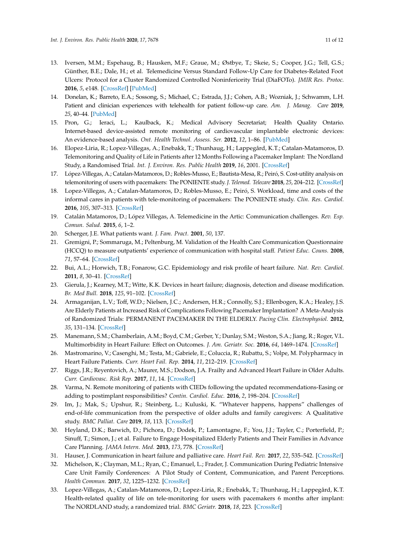- <span id="page-10-0"></span>13. Iversen, M.M.; Espehaug, B.; Hausken, M.F.; Graue, M.; Østbye, T.; Skeie, S.; Cooper, J.G.; Tell, G.S.; Günther, B.E.; Dale, H.; et al. Telemedicine Versus Standard Follow-Up Care for Diabetes-Related Foot Ulcers: Protocol for a Cluster Randomized Controlled Noninferiority Trial (DiaFOTo). *JMIR Res. Protoc.* **2016**, *5*, e148. [\[CrossRef\]](http://dx.doi.org/10.2196/resprot.5646) [\[PubMed\]](http://www.ncbi.nlm.nih.gov/pubmed/27430301)
- <span id="page-10-1"></span>14. Donelan, K.; Barreto, E.A.; Sossong, S.; Michael, C.; Estrada, J.J.; Cohen, A.B.; Wozniak, J.; Schwamm, L.H. Patient and clinician experiences with telehealth for patient follow-up care. *Am. J. Manag. Care* **2019**, *25*, 40–44. [\[PubMed\]](http://www.ncbi.nlm.nih.gov/pubmed/30667610)
- <span id="page-10-2"></span>15. Pron, G.; Ieraci, L.; Kaulback, K.; Medical Advisory Secretariat; Health Quality Ontario. Internet-based device-assisted remote monitoring of cardiovascular implantable electronic devices: An evidence-based analysis. *Ont. Health Technol. Assess. Ser.* **2012**, *12*, 1–86. [\[PubMed\]](http://www.ncbi.nlm.nih.gov/pubmed/23074419)
- <span id="page-10-3"></span>16. Elopez-Liria, R.; Lopez-Villegas, A.; Enebakk, T.; Thunhaug, H.; Lappegård, K.T.; Catalan-Matamoros, D. Telemonitoring and Quality of Life in Patients after 12 Months Following a Pacemaker Implant: The Nordland Study, a Randomised Trial. *Int. J. Environ. Res. Public Health* **2019**, *16*, 2001. [\[CrossRef\]](http://dx.doi.org/10.3390/ijerph16112001)
- <span id="page-10-4"></span>17. López-Villegas, A.; Catalan-Matamoros, D.; Robles-Musso, E.; Bautista-Mesa, R.; Peiró, S. Cost-utility analysis on telemonitoring of users with pacemakers: The PONIENTE study. *J. Telemed. Telecare* **2018**, *25*, 204–212. [\[CrossRef\]](http://dx.doi.org/10.1177/1357633X18767184)
- <span id="page-10-5"></span>18. Lopez-Villegas, A.; Catalan-Matamoros, D.; Robles-Musso, E.; Peiró, S. Workload, time and costs of the informal cares in patients with tele-monitoring of pacemakers: The PONIENTE study. *Clin. Res. Cardiol.* **2016**, *105*, 307–313. [\[CrossRef\]](http://dx.doi.org/10.1007/s00392-015-0921-5)
- <span id="page-10-6"></span>19. Catalán Matamoros, D.; López Villegas, A. Telemedicine in the Artic: Communication challenges. *Rev. Esp. Comun. Salud.* **2015**, *6*, 1–2.
- <span id="page-10-7"></span>20. Scherger, J.E. What patients want. *J. Fam. Pract.* **2001**, *50*, 137.
- <span id="page-10-8"></span>21. Gremigni, P.; Sommaruga, M.; Peltenburg, M. Validation of the Health Care Communication Questionnaire (HCCQ) to measure outpatients' experience of communication with hospital staff. *Patient Educ. Couns.* **2008**, *71*, 57–64. [\[CrossRef\]](http://dx.doi.org/10.1016/j.pec.2007.12.008)
- <span id="page-10-9"></span>22. Bui, A.L.; Horwich, T.B.; Fonarow, G.C. Epidemiology and risk profile of heart failure. *Nat. Rev. Cardiol.* **2011**, *8*, 30–41. [\[CrossRef\]](http://dx.doi.org/10.1038/nrcardio.2010.165)
- <span id="page-10-10"></span>23. Gierula, J.; Kearney, M.T.; Witte, K.K. Devices in heart failure; diagnosis, detection and disease modification. *Br. Med Bull.* **2018**, *125*, 91–102. [\[CrossRef\]](http://dx.doi.org/10.1093/bmb/ldx051)
- <span id="page-10-11"></span>24. Armaganijan, L.V.; Toff, W.D.; Nielsen, J.C.; Andersen, H.R.; Connolly, S.J.; Ellenbogen, K.A.; Healey, J.S. Are Elderly Patients at Increased Risk of Complications Following Pacemaker Implantation? A Meta-Analysis of Randomized Trials: PERMANENT PACEMAKER IN THE ELDERLY. *Pacing Clin. Electrophysiol.* **2012**, *35*, 131–134. [\[CrossRef\]](http://dx.doi.org/10.1111/j.1540-8159.2011.03240.x)
- <span id="page-10-12"></span>25. Manemann, S.M.; Chamberlain, A.M.; Boyd, C.M.; Gerber, Y.; Dunlay, S.M.; Weston, S.A.; Jiang, R.; Roger, V.L. Multimorbidity in Heart Failure: Effect on Outcomes. *J. Am. Geriatr. Soc.* **2016**, *64*, 1469–1474. [\[CrossRef\]](http://dx.doi.org/10.1111/jgs.14206)
- <span id="page-10-13"></span>26. Mastromarino, V.; Casenghi, M.; Testa, M.; Gabriele, E.; Coluccia, R.; Rubattu, S.; Volpe, M. Polypharmacy in Heart Failure Patients. *Curr. Heart Fail. Rep.* **2014**, *11*, 212–219. [\[CrossRef\]](http://dx.doi.org/10.1007/s11897-014-0186-8)
- <span id="page-10-14"></span>27. Riggs, J.R.; Reyentovich, A.; Maurer, M.S.; Dodson, J.A. Frailty and Advanced Heart Failure in Older Adults. *Curr. Cardiovasc. Risk Rep.* **2017**, *11*, 14. [\[CrossRef\]](http://dx.doi.org/10.1007/s12170-017-0539-4)
- <span id="page-10-15"></span>28. Varma, N. Remote monitoring of patients with CIEDs following the updated recommendations-Easing or adding to postimplant responsibilities? *Contin. Cardiol. Educ.* **2016**, *2*, 198–204. [\[CrossRef\]](http://dx.doi.org/10.1002/cce2.45)
- <span id="page-10-16"></span>29. Im, J.; Mak, S.; Upshur, R.; Steinberg, L.; Kuluski, K. "Whatever happens, happens" challenges of end-of-life communication from the perspective of older adults and family caregivers: A Qualitative study. *BMC Palliat. Care* **2019**, *18*, 113. [\[CrossRef\]](http://dx.doi.org/10.1186/s12904-019-0493-7)
- <span id="page-10-17"></span>30. Heyland, D.K.; Barwich, D.; Pichora, D.; Dodek, P.; Lamontagne, F.; You, J.J.; Tayler, C.; Porterfield, P.; Sinuff, T.; Simon, J.; et al. Failure to Engage Hospitalized Elderly Patients and Their Families in Advance Care Planning. *JAMA Intern. Med.* **2013**, *173*, 778. [\[CrossRef\]](http://dx.doi.org/10.1001/jamainternmed.2013.180)
- <span id="page-10-18"></span>31. Hauser, J. Communication in heart failure and palliative care. *Heart Fail. Rev.* **2017**, *22*, 535–542. [\[CrossRef\]](http://dx.doi.org/10.1007/s10741-017-9643-2)
- <span id="page-10-19"></span>32. Michelson, K.; Clayman, M.L.; Ryan, C.; Emanuel, L.; Frader, J. Communication During Pediatric Intensive Care Unit Family Conferences: A Pilot Study of Content, Communication, and Parent Perceptions. *Health Commun.* **2017**, *32*, 1225–1232. [\[CrossRef\]](http://dx.doi.org/10.1080/10410236.2016.1217450)
- <span id="page-10-20"></span>33. Lopez-Villegas, A.; Catalan-Matamoros, D.; Lopez-Liria, R.; Enebakk, T.; Thunhaug, H.; Lappegård, K.T. Health-related quality of life on tele-monitoring for users with pacemakers 6 months after implant: The NORDLAND study, a randomized trial. *BMC Geriatr.* **2018**, *18*, 223. [\[CrossRef\]](http://dx.doi.org/10.1186/s12877-018-0911-3)